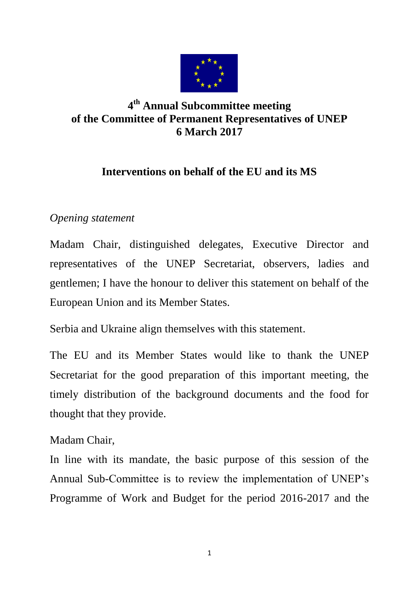

## **4 th Annual Subcommittee meeting of the Committee of Permanent Representatives of UNEP 6 March 2017**

## **Interventions on behalf of the EU and its MS**

## *Opening statement*

Madam Chair, distinguished delegates, Executive Director and representatives of the UNEP Secretariat, observers, ladies and gentlemen; I have the honour to deliver this statement on behalf of the European Union and its Member States.

Serbia and Ukraine align themselves with this statement.

The EU and its Member States would like to thank the UNEP Secretariat for the good preparation of this important meeting, the timely distribution of the background documents and the food for thought that they provide.

## Madam Chair,

In line with its mandate, the basic purpose of this session of the Annual Sub-Committee is to review the implementation of UNEP's Programme of Work and Budget for the period 2016-2017 and the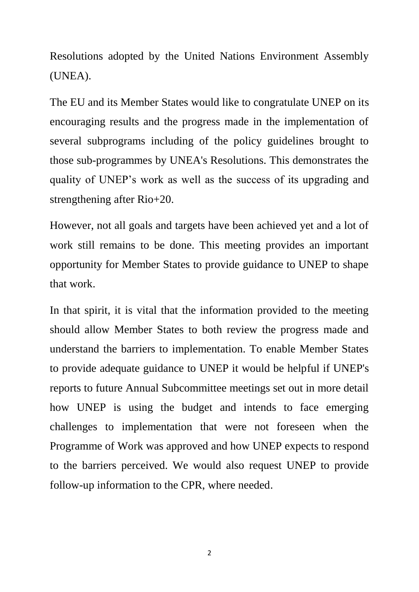Resolutions adopted by the United Nations Environment Assembly (UNEA).

The EU and its Member States would like to congratulate UNEP on its encouraging results and the progress made in the implementation of several subprograms including of the policy guidelines brought to those sub-programmes by UNEA's Resolutions. This demonstrates the quality of UNEP's work as well as the success of its upgrading and strengthening after Rio+20.

However, not all goals and targets have been achieved yet and a lot of work still remains to be done. This meeting provides an important opportunity for Member States to provide guidance to UNEP to shape that work.

In that spirit, it is vital that the information provided to the meeting should allow Member States to both review the progress made and understand the barriers to implementation. To enable Member States to provide adequate guidance to UNEP it would be helpful if UNEP's reports to future Annual Subcommittee meetings set out in more detail how UNEP is using the budget and intends to face emerging challenges to implementation that were not foreseen when the Programme of Work was approved and how UNEP expects to respond to the barriers perceived. We would also request UNEP to provide follow-up information to the CPR, where needed.

2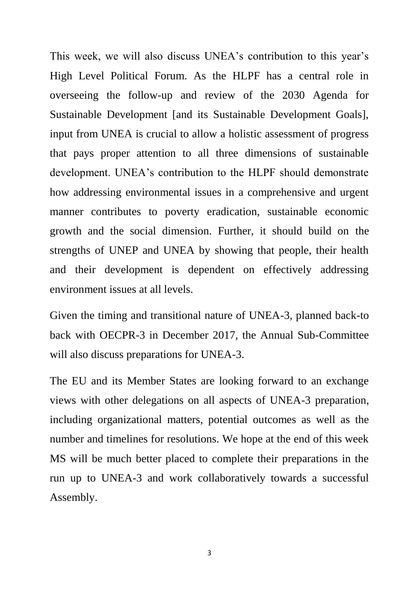This week, we will also discuss UNEA's contribution to this year's High Level Political Forum. As the HLPF has a central role in overseeing the follow-up and review of the 2030 Agenda for Sustainable Development [and its Sustainable Development Goals], input from UNEA is crucial to allow a holistic assessment of progress that pays proper attention to all three dimensions of sustainable development. UNEA's contribution to the HLPF should demonstrate how addressing environmental issues in a comprehensive and urgent manner contributes to poverty eradication, sustainable economic growth and the social dimension. Further, it should build on the strengths of UNEP and UNEA by showing that people, their health and their development is dependent on effectively addressing environment issues at all levels.

Given the timing and transitional nature of UNEA-3, planned back-to back with OECPR-3 in December 2017, the Annual Sub-Committee will also discuss preparations for UNEA-3.

The EU and its Member States are looking forward to an exchange views with other delegations on all aspects of UNEA-3 preparation, including organizational matters, potential outcomes as well as the number and timelines for resolutions. We hope at the end of this week MS will be much better placed to complete their preparations in the run up to UNEA-3 and work collaboratively towards a successful Assembly.